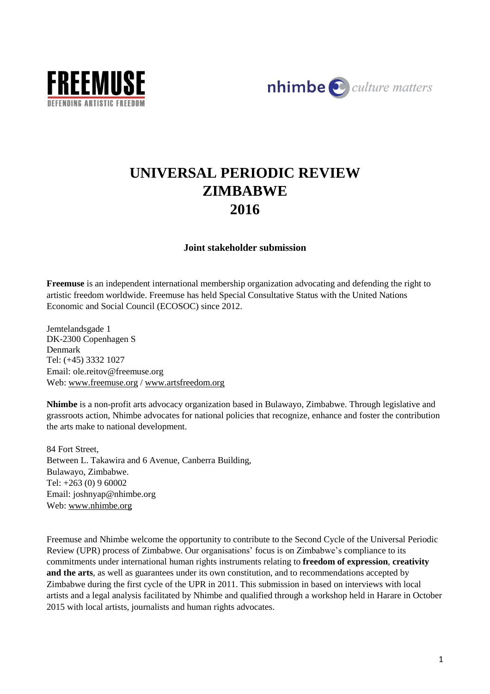



# **UNIVERSAL PERIODIC REVIEW ZIMBABWE 2016**

# **Joint stakeholder submission**

**Freemuse** is an independent international membership organization advocating and defending the right to artistic freedom worldwide. Freemuse has held Special Consultative Status with the United Nations Economic and Social Council (ECOSOC) since 2012.

Jemtelandsgade 1 DK-2300 Copenhagen S Denmark Tel: (+45) 3332 1027 Email: ole.reitov@freemuse.org Web: [www.freemuse.org](http://www.freemuse.org/) / [www.artsfreedom.org](http://www.artsfreedom.org/)

**Nhimbe** is a non-profit arts advocacy organization based in Bulawayo, Zimbabwe. Through legislative and grassroots action, Nhimbe advocates for national policies that recognize, enhance and foster the contribution the arts make to national development.

84 Fort Street, Between L. Takawira and 6 Avenue, Canberra Building, Bulawayo, Zimbabwe. Tel: +263 (0) 9 60002 Email: joshnyap@nhimbe.org Web: [www.nhimbe.org](http://www.nhimbe.org/)

Freemuse and Nhimbe welcome the opportunity to contribute to the Second Cycle of the Universal Periodic Review (UPR) process of Zimbabwe. Our organisations' focus is on Zimbabwe's compliance to its commitments under international human rights instruments relating to **freedom of expression**, **creativity and the arts**, as well as guarantees under its own constitution, and to recommendations accepted by Zimbabwe during the first cycle of the UPR in 2011. This submission in based on interviews with local artists and a legal analysis facilitated by Nhimbe and qualified through a workshop held in Harare in October 2015 with local artists, journalists and human rights advocates.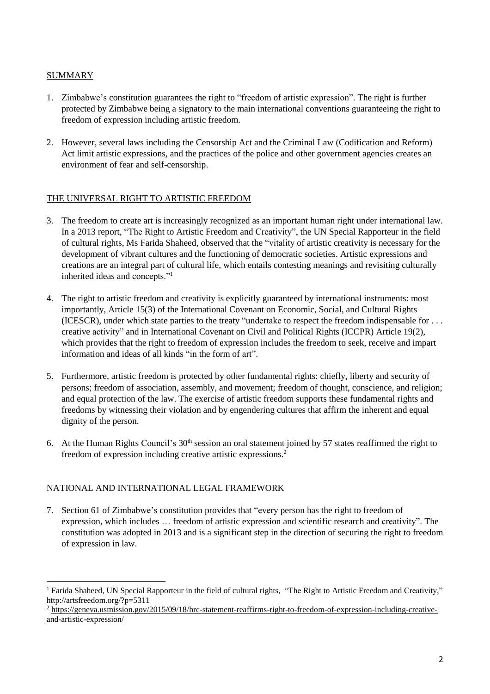# **SUMMARY**

- 1. Zimbabwe's constitution guarantees the right to "freedom of artistic expression". The right is further protected by Zimbabwe being a signatory to the main international conventions guaranteeing the right to freedom of expression including artistic freedom.
- 2. However, several laws including the Censorship Act and the Criminal Law (Codification and Reform) Act limit artistic expressions, and the practices of the police and other government agencies creates an environment of fear and self-censorship.

# THE UNIVERSAL RIGHT TO ARTISTIC FREEDOM

- 3. The freedom to create art is increasingly recognized as an important human right under international law. In a 2013 report, "The Right to Artistic Freedom and Creativity", the UN Special Rapporteur in the field of cultural rights, Ms Farida Shaheed, observed that the "vitality of artistic creativity is necessary for the development of vibrant cultures and the functioning of democratic societies. Artistic expressions and creations are an integral part of cultural life, which entails contesting meanings and revisiting culturally inherited ideas and concepts."<sup>1</sup>
- 4. The right to artistic freedom and creativity is explicitly guaranteed by international instruments: most importantly, Article 15(3) of the International Covenant on Economic, Social, and Cultural Rights (ICESCR), under which state parties to the treaty "undertake to respect the freedom indispensable for . . . creative activity" and in International Covenant on Civil and Political Rights (ICCPR) Article 19(2), which provides that the right to freedom of expression includes the freedom to seek, receive and impart information and ideas of all kinds "in the form of art".
- 5. Furthermore, artistic freedom is protected by other fundamental rights: chiefly, liberty and security of persons; freedom of association, assembly, and movement; freedom of thought, conscience, and religion; and equal protection of the law. The exercise of artistic freedom supports these fundamental rights and freedoms by witnessing their violation and by engendering cultures that affirm the inherent and equal dignity of the person.
- 6. At the Human Rights Council's 30<sup>th</sup> session an oral statement joined by 57 states reaffirmed the right to freedom of expression including creative artistic expressions.<sup>2</sup>

# NATIONAL AND INTERNATIONAL LEGAL FRAMEWORK

7. Section 61 of Zimbabwe's constitution provides that "every person has the right to freedom of expression, which includes … freedom of artistic expression and scientific research and creativity". The constitution was adopted in 2013 and is a significant step in the direction of securing the right to freedom of expression in law.

 $\overline{a}$ <sup>1</sup> Farida Shaheed, UN Special Rapporteur in the field of cultural rights, "The Right to Artistic Freedom and Creativity," <http://artsfreedom.org/?p=5311>

<sup>&</sup>lt;sup>2</sup> [https://geneva.usmission.gov/2015/09/18/hrc-statement-reaffirms-right-to-freedom-of-expression-including-creative](https://geneva.usmission.gov/2015/09/18/hrc-statement-reaffirms-right-to-freedom-of-expression-including-creative-and-artistic-expression/)[and-artistic-expression/](https://geneva.usmission.gov/2015/09/18/hrc-statement-reaffirms-right-to-freedom-of-expression-including-creative-and-artistic-expression/)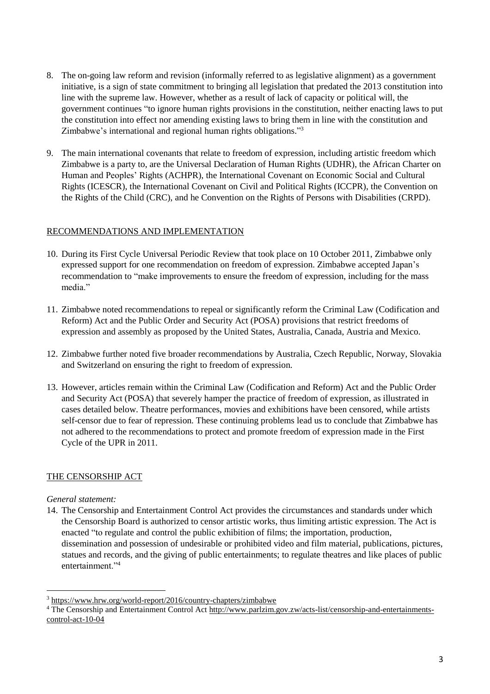- 8. The on-going law reform and revision (informally referred to as legislative alignment) as a government initiative, is a sign of state commitment to bringing all legislation that predated the 2013 constitution into line with the supreme law. However, whether as a result of lack of capacity or political will, the government continues "to ignore human rights provisions in the constitution, neither enacting laws to put the constitution into effect nor amending existing laws to bring them in line with the constitution and Zimbabwe's international and regional human rights obligations."<sup>3</sup>
- 9. The main international covenants that relate to freedom of expression, including artistic freedom which Zimbabwe is a party to, are the Universal Declaration of Human Rights (UDHR), the African Charter on Human and Peoples' Rights (ACHPR), the International Covenant on Economic Social and Cultural Rights (ICESCR), the International Covenant on Civil and Political Rights (ICCPR), the Convention on the Rights of the Child (CRC), and he Convention on the Rights of Persons with Disabilities (CRPD).

# RECOMMENDATIONS AND IMPLEMENTATION

- 10. During its First Cycle Universal Periodic Review that took place on 10 October 2011, Zimbabwe only expressed support for one recommendation on freedom of expression. Zimbabwe accepted Japan's recommendation to "make improvements to ensure the freedom of expression, including for the mass media."
- 11. Zimbabwe noted recommendations to repeal or significantly reform the Criminal Law (Codification and Reform) Act and the Public Order and Security Act (POSA) provisions that restrict freedoms of expression and assembly as proposed by the United States, Australia, Canada, Austria and Mexico.
- 12. Zimbabwe further noted five broader recommendations by Australia, Czech Republic, Norway, Slovakia and Switzerland on ensuring the right to freedom of expression.
- 13. However, articles remain within the Criminal Law (Codification and Reform) Act and the Public Order and Security Act (POSA) that severely hamper the practice of freedom of expression, as illustrated in cases detailed below. Theatre performances, movies and exhibitions have been censored, while artists self-censor due to fear of repression. These continuing problems lead us to conclude that Zimbabwe has not adhered to the recommendations to protect and promote freedom of expression made in the First Cycle of the UPR in 2011.

# THE CENSORSHIP ACT

#### *General statement:*

 $\overline{a}$ 

14. The Censorship and Entertainment Control Act provides the circumstances and standards under which the Censorship Board is authorized to censor artistic works, thus limiting artistic expression. The Act is enacted "to regulate and control the public exhibition of films; the importation, production, dissemination and possession of undesirable or prohibited video and film material, publications, pictures, statues and records, and the giving of public entertainments; to regulate theatres and like places of public entertainment."<sup>4</sup>

<sup>3</sup> <https://www.hrw.org/world-report/2016/country-chapters/zimbabwe>

<sup>&</sup>lt;sup>4</sup> The Censorship and Entertainment Control Act [http://www.parlzim.gov.zw/acts-list/censorship-and-entertainments](http://www.parlzim.gov.zw/acts-list/censorship-and-entertainments-control-act-10-04)[control-act-10-04](http://www.parlzim.gov.zw/acts-list/censorship-and-entertainments-control-act-10-04)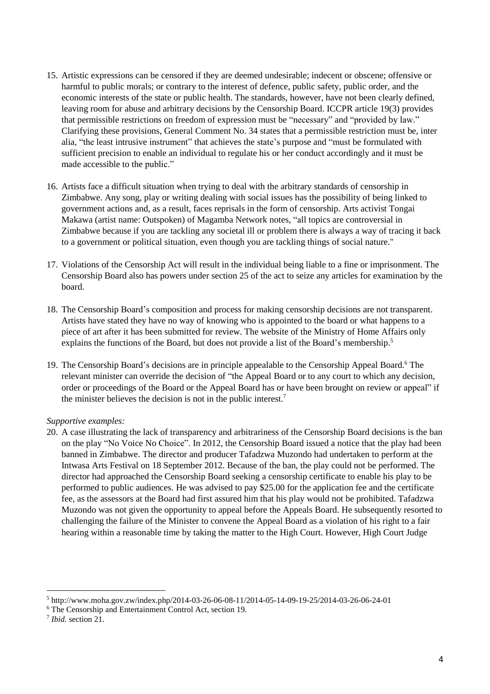- 15. Artistic expressions can be censored if they are deemed undesirable; indecent or obscene; offensive or harmful to public morals; or contrary to the interest of defence, public safety, public order, and the economic interests of the state or public health. The standards, however, have not been clearly defined, leaving room for abuse and arbitrary decisions by the Censorship Board. ICCPR article 19(3) provides that permissible restrictions on freedom of expression must be "necessary" and "provided by law." Clarifying these provisions, General Comment No. 34 states that a permissible restriction must be, inter alia, "the least intrusive instrument" that achieves the state's purpose and "must be formulated with sufficient precision to enable an individual to regulate his or her conduct accordingly and it must be made accessible to the public."
- 16. Artists face a difficult situation when trying to deal with the arbitrary standards of censorship in Zimbabwe. Any song, play or writing dealing with social issues has the possibility of being linked to government actions and, as a result, faces reprisals in the form of censorship. Arts activist Tongai Makawa (artist name: Outspoken) of Magamba Network notes, "all topics are controversial in Zimbabwe because if you are tackling any societal ill or problem there is always a way of tracing it back to a government or political situation, even though you are tackling things of social nature."
- 17. Violations of the Censorship Act will result in the individual being liable to a fine or imprisonment. The Censorship Board also has powers under section 25 of the act to seize any articles for examination by the board.
- 18. The Censorship Board's composition and process for making censorship decisions are not transparent. Artists have stated they have no way of knowing who is appointed to the board or what happens to a piece of art after it has been submitted for review. The website of the Ministry of Home Affairs only explains the functions of the Board, but does not provide a list of the Board's membership.<sup>5</sup>
- 19. The Censorship Board's decisions are in principle appealable to the Censorship Appeal Board.<sup>6</sup> The relevant minister can override the decision of "the Appeal Board or to any court to which any decision, order or proceedings of the Board or the Appeal Board has or have been brought on review or appeal" if the minister believes the decision is not in the public interest.<sup>7</sup>

# *Supportive examples:*

20. A case illustrating the lack of transparency and arbitrariness of the Censorship Board decisions is the ban on the play "No Voice No Choice". In 2012, the Censorship Board issued a notice that the play had been banned in Zimbabwe. The director and producer Tafadzwa Muzondo had undertaken to perform at the Intwasa Arts Festival on 18 September 2012. Because of the ban, the play could not be performed. The director had approached the Censorship Board seeking a censorship certificate to enable his play to be performed to public audiences. He was advised to pay \$25.00 for the application fee and the certificate fee, as the assessors at the Board had first assured him that his play would not be prohibited. Tafadzwa Muzondo was not given the opportunity to appeal before the Appeals Board. He subsequently resorted to challenging the failure of the Minister to convene the Appeal Board as a violation of his right to a fair hearing within a reasonable time by taking the matter to the High Court. However, High Court Judge

 $\overline{a}$ 

<sup>5</sup> http://www.moha.gov.zw/index.php/2014-03-26-06-08-11/2014-05-14-09-19-25/2014-03-26-06-24-01

<sup>6</sup> The Censorship and Entertainment Control Act, section 19.

<sup>7</sup> *Ibid.* section 21.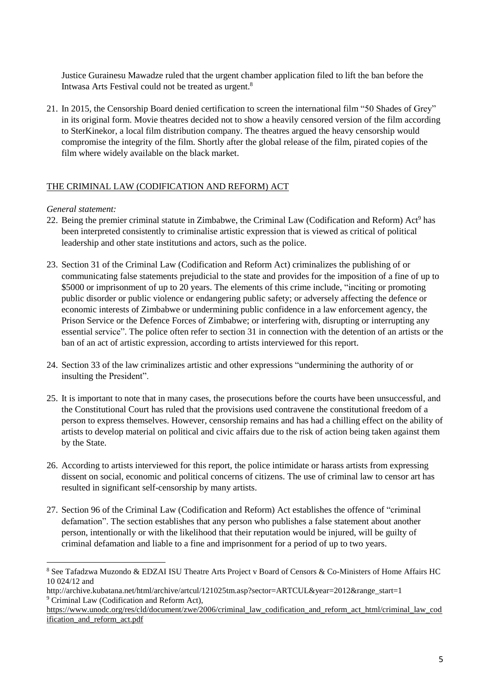Justice Gurainesu Mawadze ruled that the urgent chamber application filed to lift the ban before the Intwasa Arts Festival could not be treated as urgent.<sup>8</sup>

21. In 2015, the Censorship Board denied certification to screen the international film "50 Shades of Grey" in its original form. Movie theatres decided not to show a heavily censored version of the film according to SterKinekor, a local film distribution company. The theatres argued the heavy censorship would compromise the integrity of the film. Shortly after the global release of the film, pirated copies of the film where widely available on the black market.

# THE CRIMINAL LAW (CODIFICATION AND REFORM) ACT

## *General statement:*

- 22. Being the premier criminal statute in Zimbabwe, the Criminal Law (Codification and Reform) Act<sup>9</sup> has been interpreted consistently to criminalise artistic expression that is viewed as critical of political leadership and other state institutions and actors, such as the police.
- 23. Section 31 of the Criminal Law (Codification and Reform Act) criminalizes the publishing of or communicating false statements prejudicial to the state and provides for the imposition of a fine of up to \$5000 or imprisonment of up to 20 years. The elements of this crime include, "inciting or promoting" public disorder or public violence or endangering public safety; or adversely affecting the defence or economic interests of Zimbabwe or undermining public confidence in a law enforcement agency, the Prison Service or the Defence Forces of Zimbabwe; or interfering with, disrupting or interrupting any essential service". The police often refer to section 31 in connection with the detention of an artists or the ban of an act of artistic expression, according to artists interviewed for this report.
- 24. Section 33 of the law criminalizes artistic and other expressions "undermining the authority of or insulting the President".
- 25. It is important to note that in many cases, the prosecutions before the courts have been unsuccessful, and the Constitutional Court has ruled that the provisions used contravene the constitutional freedom of a person to express themselves. However, censorship remains and has had a chilling effect on the ability of artists to develop material on political and civic affairs due to the risk of action being taken against them by the State.
- 26. According to artists interviewed for this report, the police intimidate or harass artists from expressing dissent on social, economic and political concerns of citizens. The use of criminal law to censor art has resulted in significant self-censorship by many artists.
- 27. Section 96 of the Criminal Law (Codification and Reform) Act establishes the offence of "criminal defamation". The section establishes that any person who publishes a false statement about another person, intentionally or with the likelihood that their reputation would be injured, will be guilty of criminal defamation and liable to a fine and imprisonment for a period of up to two years.

<sup>&</sup>lt;sup>8</sup> See Tafadzwa Muzondo & EDZAI ISU Theatre Arts Project v Board of Censors & Co-Ministers of Home Affairs HC 10 024/12 and

http://archive.kubatana.net/html/archive/artcul/121025tm.asp?sector=ARTCUL&year=2012&range\_start=1 <sup>9</sup> Criminal Law (Codification and Reform Act),

[https://www.unodc.org/res/cld/document/zwe/2006/criminal\\_law\\_codification\\_and\\_reform\\_act\\_html/criminal\\_law\\_cod](https://www.unodc.org/res/cld/document/zwe/2006/criminal_law_codification_and_reform_act_html/criminal_law_codification_and_reform_act.pdf) [ification\\_and\\_reform\\_act.pdf](https://www.unodc.org/res/cld/document/zwe/2006/criminal_law_codification_and_reform_act_html/criminal_law_codification_and_reform_act.pdf)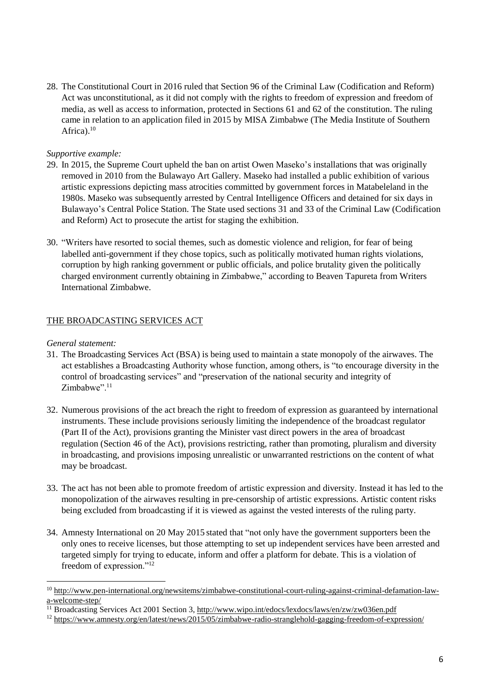28. The Constitutional Court in 2016 ruled that Section 96 of the Criminal Law (Codification and Reform) Act was unconstitutional, as it did not comply with the rights to freedom of expression and freedom of media, as well as access to information, protected in Sections 61 and 62 of the constitution. The ruling came in relation to an application filed in 2015 by MISA Zimbabwe (The Media Institute of Southern Africa). 10

## *Supportive example:*

- 29. In 2015, the Supreme Court upheld the ban on artist Owen Maseko's installations that was originally removed in 2010 from the Bulawayo Art Gallery. Maseko had installed a public exhibition of various artistic expressions depicting mass atrocities committed by government forces in Matabeleland in the 1980s. Maseko was subsequently arrested by Central Intelligence Officers and detained for six days in Bulawayo's Central Police Station. The State used sections 31 and 33 of the Criminal Law (Codification and Reform) Act to prosecute the artist for staging the exhibition.
- 30. "Writers have resorted to social themes, such as domestic violence and religion, for fear of being labelled anti-government if they chose topics, such as politically motivated human rights violations, corruption by high ranking government or public officials, and police brutality given the politically charged environment currently obtaining in Zimbabwe," according to Beaven Tapureta from Writers International Zimbabwe.

## THE BROADCASTING SERVICES ACT

## *General statement:*

 $\overline{a}$ 

- 31. The Broadcasting Services Act (BSA) is being used to maintain a state monopoly of the airwaves. The act establishes a Broadcasting Authority whose function, among others, is "to encourage diversity in the control of broadcasting services" and "preservation of the national security and integrity of Zimbabwe".<sup>11</sup>
- 32. Numerous provisions of the act breach the right to freedom of expression as guaranteed by international instruments. These include provisions seriously limiting the independence of the broadcast regulator (Part II of the Act), provisions granting the Minister vast direct powers in the area of broadcast regulation (Section 46 of the Act), provisions restricting, rather than promoting, pluralism and diversity in broadcasting, and provisions imposing unrealistic or unwarranted restrictions on the content of what may be broadcast.
- 33. The act has not been able to promote freedom of artistic expression and diversity. Instead it has led to the monopolization of the airwaves resulting in pre-censorship of artistic expressions. Artistic content risks being excluded from broadcasting if it is viewed as against the vested interests of the ruling party.
- 34. Amnesty International on 20 May 2015 stated that "not only have the government supporters been the only ones to receive licenses, but those attempting to set up independent services have been arrested and targeted simply for trying to educate, inform and offer a platform for debate. This is a violation of freedom of expression."<sup>12</sup>

<sup>&</sup>lt;sup>10</sup> [http://www.pen-international.org/newsitems/zimbabwe-constitutional-court-ruling-against-criminal-defamation-law](http://www.pen-international.org/newsitems/zimbabwe-constitutional-court-ruling-against-criminal-defamation-law-a-welcome-step/)[a-welcome-step/](http://www.pen-international.org/newsitems/zimbabwe-constitutional-court-ruling-against-criminal-defamation-law-a-welcome-step/)

<sup>&</sup>lt;sup>11</sup> Broadcasting Services Act 2001 Section 3, <http://www.wipo.int/edocs/lexdocs/laws/en/zw/zw036en.pdf>

<sup>&</sup>lt;sup>12</sup> <https://www.amnesty.org/en/latest/news/2015/05/zimbabwe-radio-stranglehold-gagging-freedom-of-expression/>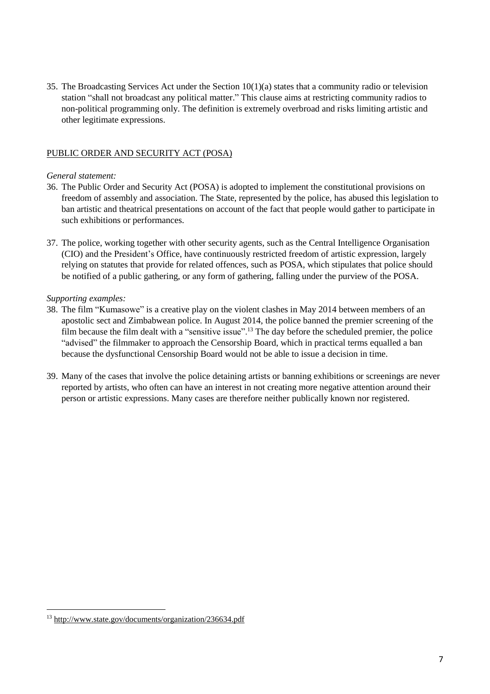35. The Broadcasting Services Act under the Section 10(1)(a) states that a community radio or television station "shall not broadcast any political matter." This clause aims at restricting community radios to non-political programming only. The definition is extremely overbroad and risks limiting artistic and other legitimate expressions.

# PUBLIC ORDER AND SECURITY ACT (POSA)

## *General statement:*

- 36. The Public Order and Security Act (POSA) is adopted to implement the constitutional provisions on freedom of assembly and association. The State, represented by the police, has abused this legislation to ban artistic and theatrical presentations on account of the fact that people would gather to participate in such exhibitions or performances.
- 37. The police, working together with other security agents, such as the Central Intelligence Organisation (CIO) and the President's Office, have continuously restricted freedom of artistic expression, largely relying on statutes that provide for related offences, such as POSA, which stipulates that police should be notified of a public gathering, or any form of gathering, falling under the purview of the POSA.

# *Supporting examples:*

- 38. The film "Kumasowe" is a creative play on the violent clashes in May 2014 between members of an apostolic sect and Zimbabwean police. In August 2014, the police banned the premier screening of the film because the film dealt with a "sensitive issue".<sup>13</sup> The day before the scheduled premier, the police "advised" the filmmaker to approach the Censorship Board, which in practical terms equalled a ban because the dysfunctional Censorship Board would not be able to issue a decision in time.
- 39. Many of the cases that involve the police detaining artists or banning exhibitions or screenings are never reported by artists, who often can have an interest in not creating more negative attention around their person or artistic expressions. Many cases are therefore neither publically known nor registered.

 $\overline{a}$ 

<sup>13</sup> <http://www.state.gov/documents/organization/236634.pdf>